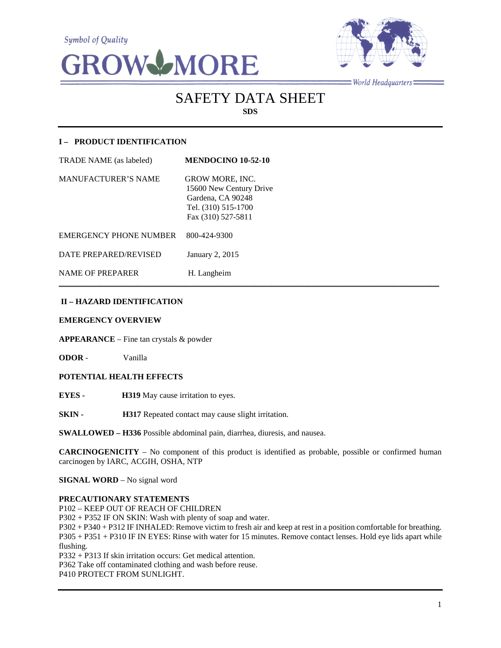**Symbol of Quality** 





 $=$  World Headquarters $=$ 

# SAFETY DATA SHEET **SDS**

# **I – PRODUCT IDENTIFICATION**

| TRADE NAME (as labeled)       | <b>MENDOCINO 10-52-10</b>                                                                                           |
|-------------------------------|---------------------------------------------------------------------------------------------------------------------|
| <b>MANUFACTURER'S NAME</b>    | <b>GROW MORE, INC.</b><br>15600 New Century Drive<br>Gardena, CA 90248<br>Tel. (310) 515-1700<br>Fax (310) 527-5811 |
| <b>EMERGENCY PHONE NUMBER</b> | 800-424-9300                                                                                                        |
| DATE PREPARED/REVISED         | January 2, 2015                                                                                                     |
| <b>NAME OF PREPARER</b>       | H. Langheim                                                                                                         |

# **II – HAZARD IDENTIFICATION**

## **EMERGENCY OVERVIEW**

**APPEARANCE** – Fine tan crystals & powder

**ODOR** - Vanilla

## **POTENTIAL HEALTH EFFECTS**

**EYES - H319** May cause irritation to eyes.

**SKIN - H317** Repeated contact may cause slight irritation.

**SWALLOWED – H336** Possible abdominal pain, diarrhea, diuresis, and nausea.

**CARCINOGENICITY** – No component of this product is identified as probable, possible or confirmed human carcinogen by IARC, ACGIH, OSHA, NTP

 $\mathcal{L}_\mathcal{L} = \mathcal{L}_\mathcal{L} = \mathcal{L}_\mathcal{L} = \mathcal{L}_\mathcal{L} = \mathcal{L}_\mathcal{L} = \mathcal{L}_\mathcal{L} = \mathcal{L}_\mathcal{L} = \mathcal{L}_\mathcal{L} = \mathcal{L}_\mathcal{L} = \mathcal{L}_\mathcal{L} = \mathcal{L}_\mathcal{L} = \mathcal{L}_\mathcal{L} = \mathcal{L}_\mathcal{L} = \mathcal{L}_\mathcal{L} = \mathcal{L}_\mathcal{L} = \mathcal{L}_\mathcal{L} = \mathcal{L}_\mathcal{L}$ 

**SIGNAL WORD** – No signal word

## **PRECAUTIONARY STATEMENTS**

P102 – KEEP OUT OF REACH OF CHILDREN

P302 + P352 IF ON SKIN: Wash with plenty of soap and water.

P302 + P340 + P312 IF INHALED: Remove victim to fresh air and keep at rest in a position comfortable for breathing. P305 + P351 + P310 IF IN EYES: Rinse with water for 15 minutes. Remove contact lenses. Hold eye lids apart while flushing.

P332 + P313 If skin irritation occurs: Get medical attention.

P362 Take off contaminated clothing and wash before reuse.

P410 PROTECT FROM SUNLIGHT.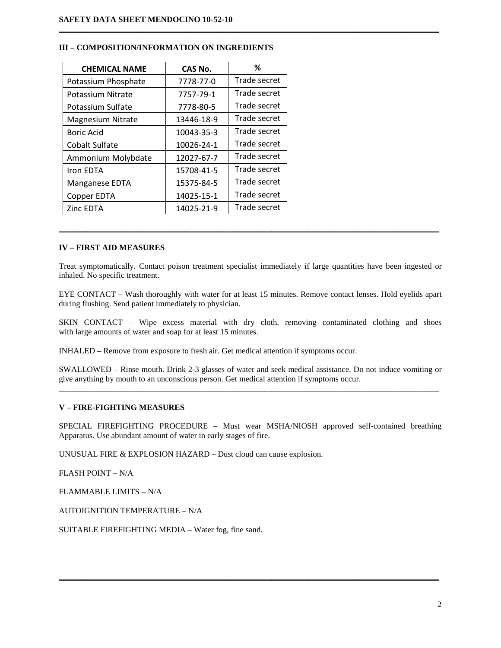## **III – COMPOSITION/INFORMATION ON INGREDIENTS**

| <b>CHEMICAL NAME</b>     | CAS No.    | %            |
|--------------------------|------------|--------------|
| Potassium Phosphate      | 7778-77-0  | Trade secret |
| Potassium Nitrate        | 7757-79-1  | Trade secret |
| Potassium Sulfate        | 7778-80-5  | Trade secret |
| <b>Magnesium Nitrate</b> | 13446-18-9 | Trade secret |
| <b>Boric Acid</b>        | 10043-35-3 | Trade secret |
| <b>Cobalt Sulfate</b>    | 10026-24-1 | Trade secret |
| Ammonium Molybdate       | 12027-67-7 | Trade secret |
| Iron EDTA                | 15708-41-5 | Trade secret |
| Manganese EDTA           | 15375-84-5 | Trade secret |
| Copper EDTA              | 14025-15-1 | Trade secret |
| Zinc EDTA                | 14025-21-9 | Trade secret |

# **IV – FIRST AID MEASURES**

Treat symptomatically. Contact poison treatment specialist immediately if large quantities have been ingested or inhaled. No specific treatment.

\_\_\_\_\_\_\_\_\_\_\_\_\_\_\_\_\_\_\_\_\_\_\_\_\_\_\_\_\_\_\_\_\_\_\_\_\_\_\_\_\_\_\_\_\_\_\_\_\_\_\_\_\_\_\_\_\_\_\_\_\_\_\_\_\_\_\_\_\_\_\_\_\_\_\_\_\_\_\_\_\_\_\_\_\_\_\_\_\_\_\_\_\_

 $\mathcal{L}_\mathcal{L} = \{ \mathcal{L}_\mathcal{L} = \{ \mathcal{L}_\mathcal{L} = \{ \mathcal{L}_\mathcal{L} = \{ \mathcal{L}_\mathcal{L} = \{ \mathcal{L}_\mathcal{L} = \{ \mathcal{L}_\mathcal{L} = \{ \mathcal{L}_\mathcal{L} = \{ \mathcal{L}_\mathcal{L} = \{ \mathcal{L}_\mathcal{L} = \{ \mathcal{L}_\mathcal{L} = \{ \mathcal{L}_\mathcal{L} = \{ \mathcal{L}_\mathcal{L} = \{ \mathcal{L}_\mathcal{L} = \{ \mathcal{L}_\mathcal{$ 

EYE CONTACT – Wash thoroughly with water for at least 15 minutes. Remove contact lenses. Hold eyelids apart during flushing. Send patient immediately to physician.

SKIN CONTACT – Wipe excess material with dry cloth, removing contaminated clothing and shoes with large amounts of water and soap for at least 15 minutes.

INHALED – Remove from exposure to fresh air. Get medical attention if symptoms occur.

SWALLOWED – Rinse mouth. Drink 2-3 glasses of water and seek medical assistance. Do not induce vomiting or give anything by mouth to an unconscious person. Get medical attention if symptoms occur.  $\mathcal{L}_\mathcal{L} = \{ \mathcal{L}_\mathcal{L} = \{ \mathcal{L}_\mathcal{L} = \{ \mathcal{L}_\mathcal{L} = \{ \mathcal{L}_\mathcal{L} = \{ \mathcal{L}_\mathcal{L} = \{ \mathcal{L}_\mathcal{L} = \{ \mathcal{L}_\mathcal{L} = \{ \mathcal{L}_\mathcal{L} = \{ \mathcal{L}_\mathcal{L} = \{ \mathcal{L}_\mathcal{L} = \{ \mathcal{L}_\mathcal{L} = \{ \mathcal{L}_\mathcal{L} = \{ \mathcal{L}_\mathcal{L} = \{ \mathcal{L}_\mathcal{$ 

## **V – FIRE-FIGHTING MEASURES**

SPECIAL FIREFIGHTING PROCEDURE – Must wear MSHA/NIOSH approved self-contained breathing Apparatus. Use abundant amount of water in early stages of fire.

\_\_\_\_\_\_\_\_\_\_\_\_\_\_\_\_\_\_\_\_\_\_\_\_\_\_\_\_\_\_\_\_\_\_\_\_\_\_\_\_\_\_\_\_\_\_\_\_\_\_\_\_\_\_\_\_\_\_\_\_\_\_\_\_\_\_\_\_\_\_\_\_\_\_\_\_\_\_\_\_\_\_\_\_\_\_\_\_\_\_\_\_\_

UNUSUAL FIRE & EXPLOSION HAZARD – Dust cloud can cause explosion.

FLASH POINT – N/A

FLAMMABLE LIMITS – N/A

AUTOIGNITION TEMPERATURE – N/A

SUITABLE FIREFIGHTING MEDIA – Water fog, fine sand.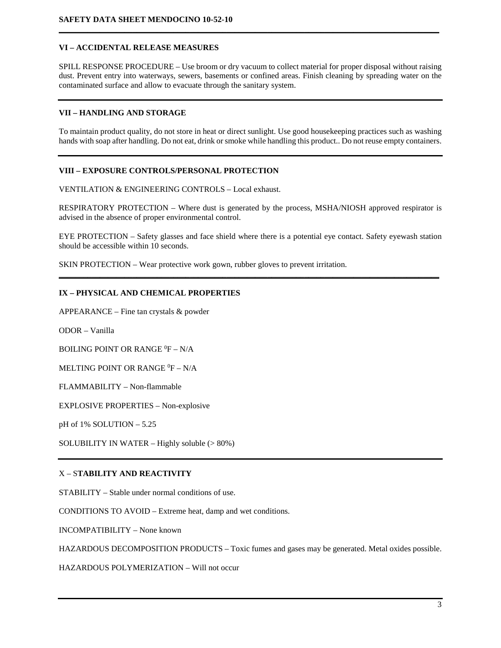## **VI – ACCIDENTAL RELEASE MEASURES**

SPILL RESPONSE PROCEDURE – Use broom or dry vacuum to collect material for proper disposal without raising dust. Prevent entry into waterways, sewers, basements or confined areas. Finish cleaning by spreading water on the contaminated surface and allow to evacuate through the sanitary system.

**\_\_\_\_\_\_\_\_\_\_\_\_\_\_\_\_\_\_\_\_\_\_\_\_\_\_\_\_\_\_\_\_\_\_\_\_\_\_\_\_\_\_\_\_\_\_\_\_\_\_\_\_\_\_\_\_\_\_\_\_\_\_\_\_\_\_\_\_\_\_\_\_\_\_\_\_\_\_\_\_\_\_\_\_\_\_\_\_\_\_\_\_\_**

## **VII – HANDLING AND STORAGE**

To maintain product quality, do not store in heat or direct sunlight. Use good housekeeping practices such as washing hands with soap after handling. Do not eat, drink or smoke while handling this product.. Do not reuse empty containers.

# **VIII – EXPOSURE CONTROLS/PERSONAL PROTECTION**

VENTILATION & ENGINEERING CONTROLS – Local exhaust.

RESPIRATORY PROTECTION – Where dust is generated by the process, MSHA/NIOSH approved respirator is advised in the absence of proper environmental control.

EYE PROTECTION – Safety glasses and face shield where there is a potential eye contact. Safety eyewash station should be accessible within 10 seconds.

**\_\_\_\_\_\_\_\_\_\_\_\_\_\_\_\_\_\_\_\_\_\_\_\_\_\_\_\_\_\_\_\_\_\_\_\_\_\_\_\_\_\_\_\_\_\_\_\_\_\_\_\_\_\_\_\_\_\_\_\_\_\_\_\_\_\_\_\_\_\_\_\_\_\_\_\_\_\_\_\_\_\_\_\_\_\_\_\_\_\_\_\_\_**

SKIN PROTECTION – Wear protective work gown, rubber gloves to prevent irritation.

## **IX – PHYSICAL AND CHEMICAL PROPERTIES**

APPEARANCE – Fine tan crystals & powder

ODOR – Vanilla

BOILING POINT OR RANGE <sup>0</sup>F – N/A

MELTING POINT OR RANGE  ${}^{0}\text{F} - \text{N/A}$ 

FLAMMABILITY – Non-flammable

EXPLOSIVE PROPERTIES – Non-explosive

pH of 1% SOLUTION – 5.25

SOLUBILITY IN WATER – Highly soluble (> 80%)

## X – S**TABILITY AND REACTIVITY**

STABILITY – Stable under normal conditions of use.

CONDITIONS TO AVOID – Extreme heat, damp and wet conditions.

INCOMPATIBILITY – None known

HAZARDOUS DECOMPOSITION PRODUCTS – Toxic fumes and gases may be generated. Metal oxides possible.

HAZARDOUS POLYMERIZATION – Will not occur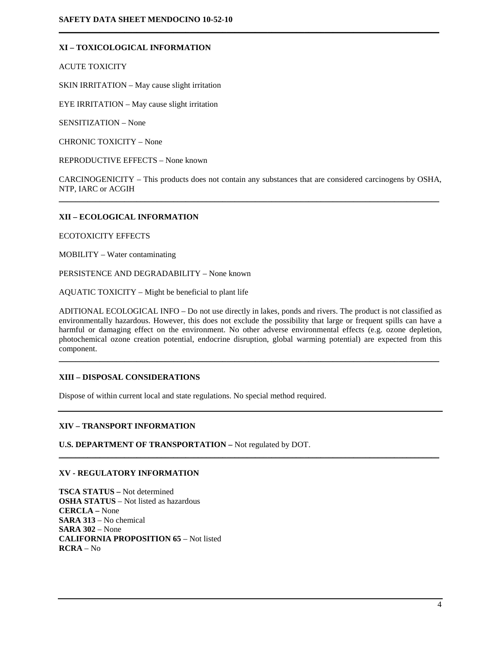## **XI – TOXICOLOGICAL INFORMATION**

ACUTE TOXICITY

SKIN IRRITATION – May cause slight irritation

EYE IRRITATION – May cause slight irritation

SENSITIZATION – None

CHRONIC TOXICITY – None

REPRODUCTIVE EFFECTS – None known

CARCINOGENICITY – This products does not contain any substances that are considered carcinogens by OSHA, NTP, IARC or ACGIH  $\mathcal{L}_\mathcal{L} = \{ \mathcal{L}_\mathcal{L} = \{ \mathcal{L}_\mathcal{L} = \{ \mathcal{L}_\mathcal{L} = \{ \mathcal{L}_\mathcal{L} = \{ \mathcal{L}_\mathcal{L} = \{ \mathcal{L}_\mathcal{L} = \{ \mathcal{L}_\mathcal{L} = \{ \mathcal{L}_\mathcal{L} = \{ \mathcal{L}_\mathcal{L} = \{ \mathcal{L}_\mathcal{L} = \{ \mathcal{L}_\mathcal{L} = \{ \mathcal{L}_\mathcal{L} = \{ \mathcal{L}_\mathcal{L} = \{ \mathcal{L}_\mathcal{$ 

**\_\_\_\_\_\_\_\_\_\_\_\_\_\_\_\_\_\_\_\_\_\_\_\_\_\_\_\_\_\_\_\_\_\_\_\_\_\_\_\_\_\_\_\_\_\_\_\_\_\_\_\_\_\_\_\_\_\_\_\_\_\_\_\_\_\_\_\_\_\_\_\_\_\_\_\_\_\_\_\_\_\_\_\_\_\_\_\_\_\_\_\_\_**

## **XII – ECOLOGICAL INFORMATION**

ECOTOXICITY EFFECTS

MOBILITY – Water contaminating

PERSISTENCE AND DEGRADABILITY – None known

AQUATIC TOXICITY – Might be beneficial to plant life

ADITIONAL ECOLOGICAL INFO – Do not use directly in lakes, ponds and rivers. The product is not classified as environmentally hazardous. However, this does not exclude the possibility that large or frequent spills can have a harmful or damaging effect on the environment. No other adverse environmental effects (e.g. ozone depletion, photochemical ozone creation potential, endocrine disruption, global warming potential) are expected from this component.

\_\_\_\_\_\_\_\_\_\_\_\_\_\_\_\_\_\_\_\_\_\_\_\_\_\_\_\_\_\_\_\_\_\_\_\_\_\_\_\_\_\_\_\_\_\_\_\_\_\_\_\_\_\_\_\_\_\_\_\_\_\_\_\_\_\_\_\_\_\_\_\_\_\_\_\_\_\_\_\_\_\_\_\_\_\_\_\_\_\_\_\_\_

\_\_\_\_\_\_\_\_\_\_\_\_\_\_\_\_\_\_\_\_\_\_\_\_\_\_\_\_\_\_\_\_\_\_\_\_\_\_\_\_\_\_\_\_\_\_\_\_\_\_\_\_\_\_\_\_\_\_\_\_\_\_\_\_\_\_\_\_\_\_\_\_\_\_\_\_\_\_\_\_\_\_\_\_\_\_\_\_\_\_\_\_\_

## **XIII – DISPOSAL CONSIDERATIONS**

Dispose of within current local and state regulations. No special method required.

## **XIV – TRANSPORT INFORMATION**

**U.S. DEPARTMENT OF TRANSPORTATION –** Not regulated by DOT.

#### **XV - REGULATORY INFORMATION**

**TSCA STATUS –** Not determined **OSHA STATUS** – Not listed as hazardous **CERCLA –** None **SARA 313** – No chemical **SARA 302** – None **CALIFORNIA PROPOSITION 65** – Not listed **RCRA** – No